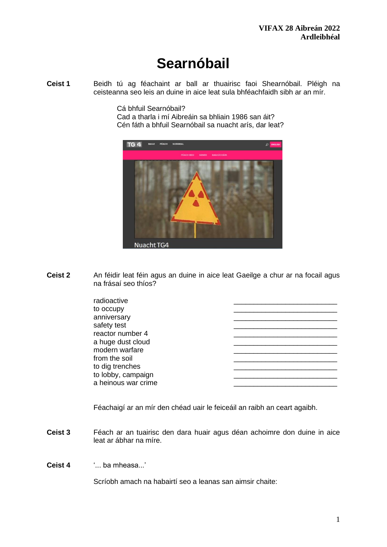# **Searnóbail**

**Ceist 1** Beidh tú ag féachaint ar ball ar thuairisc faoi Shearnóbail. Pléigh na ceisteanna seo leis an duine in aice leat sula bhféachfaidh sibh ar an mír.

Cá bhfuil Searnóbail?

Cad a tharla i mí Aibreáin sa bhliain 1986 san áit? Cén fáth a bhfuil Searnóbail sa nuacht arís, dar leat?



**Ceist 2** An féidir leat féin agus an duine in aice leat Gaeilge a chur ar na focail agus na frásaí seo thíos?

| radioactive         |  |
|---------------------|--|
| to occupy           |  |
| anniversary         |  |
| safety test         |  |
| reactor number 4    |  |
| a huge dust cloud   |  |
| modern warfare      |  |
| from the soil       |  |
| to dig trenches     |  |
| to lobby, campaign  |  |
| a heinous war crime |  |

Féachaigí ar an mír den chéad uair le feiceáil an raibh an ceart agaibh.

**Ceist 3** Féach ar an tuairisc den dara huair agus déan achoimre don duine in aice leat ar ábhar na míre.

**Ceist 4** '... ba mheasa...'

Scríobh amach na habairtí seo a leanas san aimsir chaite: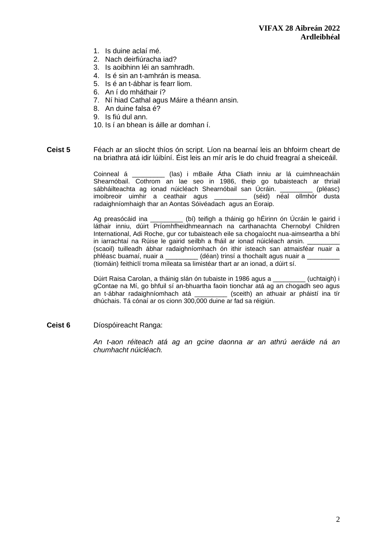- 1. Is duine aclaí mé.
- 2. Nach deirfiúracha iad?
- 3. Is aoibhinn léi an samhradh.
- 4. Is é sin an t-amhrán is measa.
- 5. Is é an t-ábhar is fearr liom.
- 6. An í do mháthair í?
- 7. Ní hiad Cathal agus Máire a théann ansin.
- 8. An duine falsa é?
- 9. Is fiú dul ann.
- 10. Is í an bhean is áille ar domhan í.
- **Ceist 5** Féach ar an sliocht thíos ón script. Líon na bearnaí leis an bhfoirm cheart de na briathra atá idir lúibíní. Éist leis an mír arís le do chuid freagraí a sheiceáil.

Coinneal á \_\_\_\_\_\_\_\_\_ (las) i mBaile Átha Cliath inniu ar lá cuimhneacháin Shearnóbail. Cothrom an lae seo in 1986, theip go tubaisteach ar thriail sábháilteachta ag ionad núicléach Shearnóbail san Úcráin. sábháilteachta ag ionad núicléach Shearnóbail san Úcráin. imoibreoir uimhir a ceathair agus \_\_\_\_\_\_\_\_\_ (séid) néal ollmhór dusta radaighníomhaigh thar an Aontas Sóivéadach agus an Eoraip.

Ag preasócáid ina \_\_\_\_\_\_\_\_\_ (bí) teifigh a tháinig go hÉirinn ón Úcráin le gairid i láthair inniu, dúirt Príomhfheidhmeannach na carthanachta Chernobyl Children International, Adi Roche, gur cor tubaisteach eile sa chogaíocht nua-aimseartha a bhí in iarrachtaí na Rúise le gairid seilbh a fháil ar ionad núicléach ansin. (scaoil) tuilleadh ábhar radaighníomhach ón ithir isteach san atmaisféar nuair a phléasc buamaí, nuair a \_\_\_\_\_\_\_\_\_ (déan) trinsí a thochailt agus nuair a \_ (tiomáin) feithiclí troma míleata sa limistéar thart ar an ionad, a dúirt sí.

Dúirt Raisa Carolan, a tháinig slán ón tubaiste in 1986 agus a \_\_\_\_\_\_\_\_\_ (uchtaigh) i gContae na Mí, go bhfuil sí an-bhuartha faoin tionchar atá ag an chogadh seo agus an t-ábhar radaighníomhach atá \_\_\_\_\_\_\_\_\_ (sceith) an athuair ar pháistí ina tír dhúchais. Tá cónaí ar os cionn 300,000 duine ar fad sa réigiún.

#### **Ceist 6** Díospóireacht Ranga:

*An t-aon réiteach atá ag an gcine daonna ar an athrú aeráide ná an chumhacht núicléach.*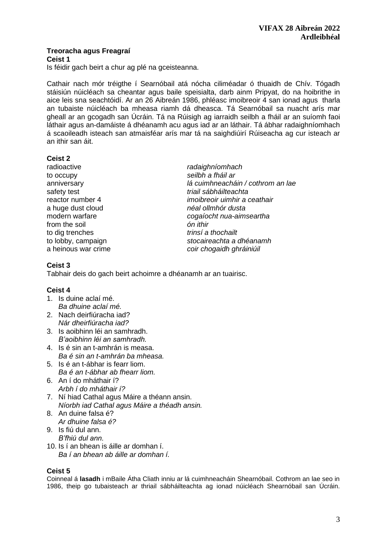# **Treoracha agus Freagraí**

**Ceist 1**

Is féidir gach beirt a chur ag plé na gceisteanna.

Cathair nach mór tréigthe í Searnóbail atá nócha ciliméadar ó thuaidh de Chív. Tógadh stáisiún núicléach sa cheantar agus baile speisialta, darb ainm Pripyat, do na hoibrithe in aice leis sna seachtóidí. Ar an 26 Aibreán 1986, phléasc imoibreoir 4 san ionad agus tharla an tubaiste núicléach ba mheasa riamh dá dheasca. Tá Searnóbail sa nuacht arís mar gheall ar an gcogadh san Úcráin. Tá na Rúisigh ag iarraidh seilbh a fháil ar an suíomh faoi láthair agus an-damáiste á dhéanamh acu agus iad ar an láthair. Tá ábhar radaighníomhach á scaoileadh isteach san atmaisféar arís mar tá na saighdiúirí Rúiseacha ag cur isteach ar an ithir san áit.

# **Ceist 2**

radioactive *radaighníomhach*  to occupy *seilbh a fháil ar* safety test *triail sábháilteachta*  a huge dust cloud *néal ollmhór dusta* from the soil *ón ithir* to dig trenches *trinsí a thochailt* 

anniversary *lá cuimhneacháin / cothrom an lae* reactor number 4 *imoibreoir uimhir a ceathair* modern warfare *cogaíocht nua-aimseartha* to lobby, campaign *stocaireachta a dhéanamh* a heinous war crime *coir chogaidh ghráiniúil* 

# **Ceist 3**

Tabhair deis do gach beirt achoimre a dhéanamh ar an tuairisc.

# **Ceist 4**

- 1. Is duine aclaí mé. *Ba dhuine aclaí mé.*
- 2. Nach deirfiúracha iad? *Nár dheirfiúracha iad?*
- 3. Is aoibhinn léi an samhradh. *B'aoibhinn léi an samhradh.*
- 4. Is é sin an t-amhrán is measa. *Ba é sin an t-amhrán ba mheasa.*
- 5. Is é an t-ábhar is fearr liom. *Ba é an t-ábhar ab fhearr liom.*
- 6. An í do mháthair í? *Arbh í do mháthair í?*
- 7. Ní hiad Cathal agus Máire a théann ansin. *Níorbh iad Cathal agus Máire a théadh ansin.*
- 8. An duine falsa é? *Ar dhuine falsa é?*
- 9. Is fiú dul ann. *B'fhiú dul ann.*
- 10. Is í an bhean is áille ar domhan í. *Ba í an bhean ab áille ar domhan í.*

# **Ceist 5**

Coinneal á **lasadh** i mBaile Átha Cliath inniu ar lá cuimhneacháin Shearnóbail. Cothrom an lae seo in 1986, theip go tubaisteach ar thriail sábháilteachta ag ionad núicléach Shearnóbail san Úcráin.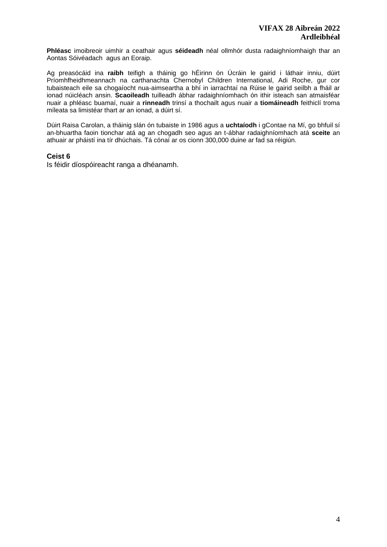**Phléasc** imoibreoir uimhir a ceathair agus **séideadh** néal ollmhór dusta radaighníomhaigh thar an Aontas Sóivéadach agus an Eoraip.

Ag preasócáid ina **raibh** teifigh a tháinig go hÉirinn ón Úcráin le gairid i láthair inniu, dúirt Príomhfheidhmeannach na carthanachta Chernobyl Children International, Adi Roche, gur cor tubaisteach eile sa chogaíocht nua-aimseartha a bhí in iarrachtaí na Rúise le gairid seilbh a fháil ar ionad núicléach ansin. **Scaoileadh** tuilleadh ábhar radaighníomhach ón ithir isteach san atmaisféar nuair a phléasc buamaí, nuair a **rinneadh** trinsí a thochailt agus nuair a **tiomáineadh** feithiclí troma míleata sa limistéar thart ar an ionad, a dúirt sí.

Dúirt Raisa Carolan, a tháinig slán ón tubaiste in 1986 agus a **uchtaíodh** i gContae na Mí, go bhfuil sí an-bhuartha faoin tionchar atá ag an chogadh seo agus an t-ábhar radaighníomhach atá **sceite** an athuair ar pháistí ina tír dhúchais. Tá cónaí ar os cionn 300,000 duine ar fad sa réigiún.

#### **Ceist 6**

Is féidir díospóireacht ranga a dhéanamh.